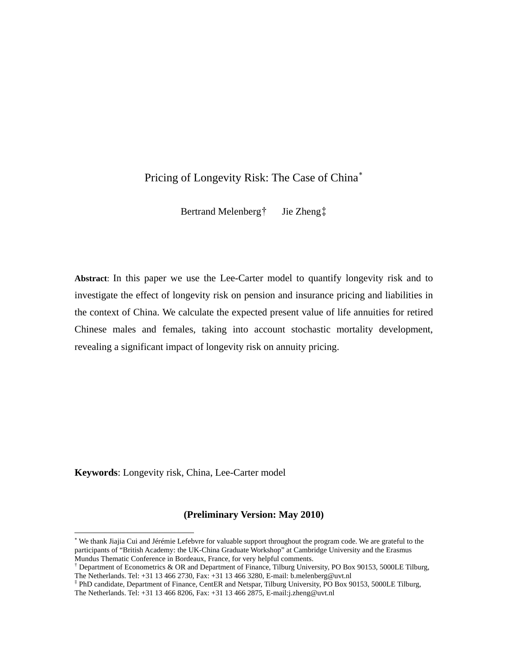## Pricing of Longevity Risk: The Case of China[∗](#page-0-0)

Bertrand Melenberg[†](#page-0-1) Jie Zheng[‡](#page-0-2)

**Abstract**: In this paper we use the Lee-Carter model to quantify longevity risk and to investigate the effect of longevity risk on pension and insurance pricing and liabilities in the context of China. We calculate the expected present value of life annuities for retired Chinese males and females, taking into account stochastic mortality development, revealing a significant impact of longevity risk on annuity pricing.

**Keywords**: Longevity risk, China, Lee-Carter model

 $\overline{a}$ 

### **(Preliminary Version: May 2010)**

<span id="page-0-0"></span><sup>∗</sup> We thank Jiajia Cui and Jérémie Lefebvre for valuable support throughout the program code. We are grateful to the participants of "British Academy: the UK-China Graduate Workshop" at Cambridge University and the Erasmus Mundus Thematic Conference in Bordeaux, France, for very helpful comments.

<span id="page-0-1"></span><sup>†</sup> Department of Econometrics & OR and Department of Finance, Tilburg University, PO Box 90153, 5000LE Tilburg, The Netherlands. Tel: +31 13 466 2730, Fax: +31 13 466 3280, E-mail: b.melenberg@uvt.nl

<span id="page-0-2"></span><sup>‡</sup> PhD candidate, Department of Finance, CentER and Netspar, Tilburg University, PO Box 90153, 5000LE Tilburg, The Netherlands. Tel: +31 13 466 8206, Fax: +31 13 466 2875, E-mail:j.zheng@uvt.nl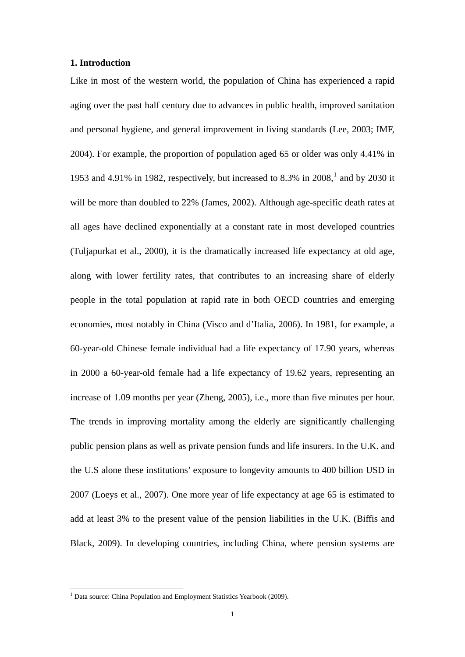#### **1. Introduction**

Like in most of the western world, the population of China has experienced a rapid aging over the past half century due to advances in public health, improved sanitation and personal hygiene, and general improvement in living standards (Lee, 2003; IMF, 2004). For example, the proportion of population aged 65 or older was only 4.41% in [1](#page-1-0)953 and 4.91% in 1982, respectively, but increased to 8.3% in  $2008$ , and by 2030 it will be more than doubled to 22% (James, 2002). Although age-specific death rates at all ages have declined exponentially at a constant rate in most developed countries (Tuljapurkat et al., 2000), it is the dramatically increased life expectancy at old age, along with lower fertility rates, that contributes to an increasing share of elderly people in the total population at rapid rate in both OECD countries and emerging economies, most notably in China (Visco and d'Italia, 2006). In 1981, for example, a 60-year-old Chinese female individual had a life expectancy of 17.90 years, whereas in 2000 a 60-year-old female had a life expectancy of 19.62 years, representing an increase of 1.09 months per year (Zheng, 2005), i.e., more than five minutes per hour. The trends in improving mortality among the elderly are significantly challenging public pension plans as well as private pension funds and life insurers. In the U.K. and the U.S alone these institutions' exposure to longevity amounts to 400 billion USD in 2007 (Loeys et al., 2007). One more year of life expectancy at age 65 is estimated to add at least 3% to the present value of the pension liabilities in the U.K. (Biffis and Black, 2009). In developing countries, including China, where pension systems are

<span id="page-1-0"></span> 1 Data source: China Population and Employment Statistics Yearbook (2009).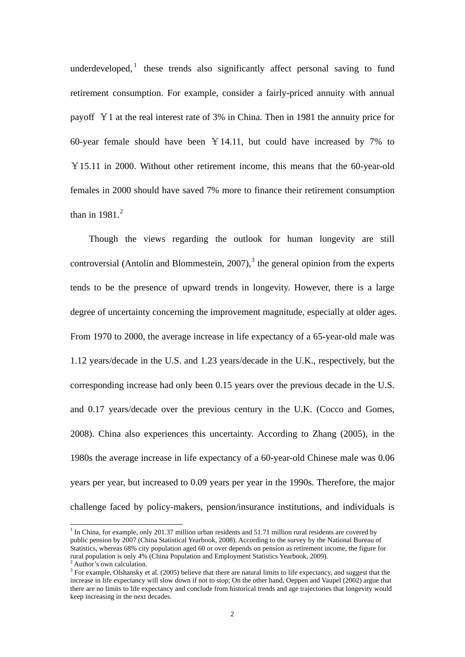underdeveloped, $\frac{1}{1}$  $\frac{1}{1}$  $\frac{1}{1}$  these trends also significantly affect personal saving to fund retirement consumption. For example, consider a fairly-priced annuity with annual payoff ¥1 at the real interest rate of 3% in China. Then in 1981 the annuity price for 60-year female should have been  $Y14.11$ , but could have increased by 7% to ¥15.11 in 2000. Without other retirement income, this means that the 60-year-old females in 2000 should have saved 7% more to finance their retirement consumption than in  $1981.<sup>2</sup>$  $1981.<sup>2</sup>$  $1981.<sup>2</sup>$ 

Though the views regarding the outlook for human longevity are still controversial (Antolin and Blommestein,  $2007$ ),<sup>[3](#page-2-2)</sup> the general opinion from the experts tends to be the presence of upward trends in longevity. However, there is a large degree of uncertainty concerning the improvement magnitude, especially at older ages. From 1970 to 2000, the average increase in life expectancy of a 65-year-old male was 1.12 years/decade in the U.S. and 1.23 years/decade in the U.K., respectively, but the corresponding increase had only been 0.15 years over the previous decade in the U.S. and 0.17 years/decade over the previous century in the U.K. (Cocco and Gomes, 2008). China also experiences this uncertainty. According to Zhang (2005), in the 1980s the average increase in life expectancy of a 60-year-old Chinese male was 0.06 years per year, but increased to 0.09 years per year in the 1990s. Therefore, the major challenge faced by policy-makers, pension/insurance institutions, and individuals is

-

<span id="page-2-0"></span><sup>&</sup>lt;sup>1</sup> In China, for example, only 201.37 million urban residents and 51.71 million rural residents are covered by public pension by 2007 (China Statistical Yearbook, 2008). According to the survey by the National Bureau of Statistics, whereas 68% city population aged 60 or over depends on pension as retirement income, the figure for rural population is only 4% (China Population and Employment Statistics Yearbook, 2009). Author's own calculation.

<span id="page-2-2"></span><span id="page-2-1"></span> $3$  For example, Olshansky et al. (2005) believe that there are natural limits to life expectancy, and suggest that the increase in life expectancy will slow down if not to stop; On the other hand, Oeppen and Vaupel (2002) argue that there are no limits to life expectancy and conclude from historical trends and age trajectories that longevity would keep increasing in the next decades.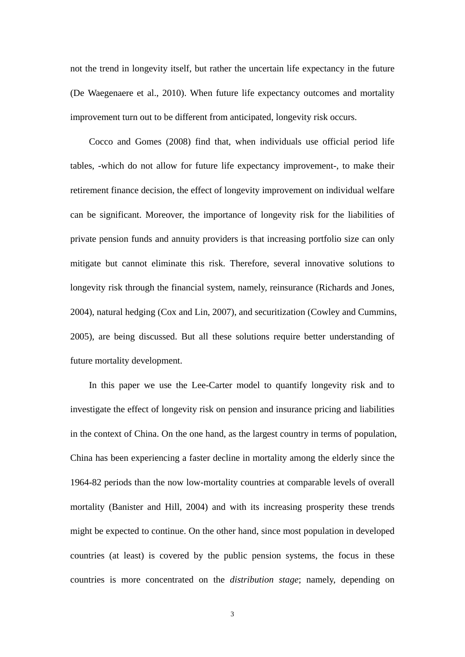not the trend in longevity itself, but rather the uncertain life expectancy in the future (De Waegenaere et al., 2010). When future life expectancy outcomes and mortality improvement turn out to be different from anticipated, longevity risk occurs.

Cocco and Gomes (2008) find that, when individuals use official period life tables, -which do not allow for future life expectancy improvement-, to make their retirement finance decision, the effect of longevity improvement on individual welfare can be significant. Moreover, the importance of longevity risk for the liabilities of private pension funds and annuity providers is that increasing portfolio size can only mitigate but cannot eliminate this risk. Therefore, several innovative solutions to longevity risk through the financial system, namely, reinsurance (Richards and Jones, 2004), natural hedging (Cox and Lin, 2007), and securitization (Cowley and Cummins, 2005), are being discussed. But all these solutions require better understanding of future mortality development.

In this paper we use the Lee-Carter model to quantify longevity risk and to investigate the effect of longevity risk on pension and insurance pricing and liabilities in the context of China. On the one hand, as the largest country in terms of population, China has been experiencing a faster decline in mortality among the elderly since the 1964-82 periods than the now low-mortality countries at comparable levels of overall mortality (Banister and Hill, 2004) and with its increasing prosperity these trends might be expected to continue. On the other hand, since most population in developed countries (at least) is covered by the public pension systems, the focus in these countries is more concentrated on the *distribution stage*; namely, depending on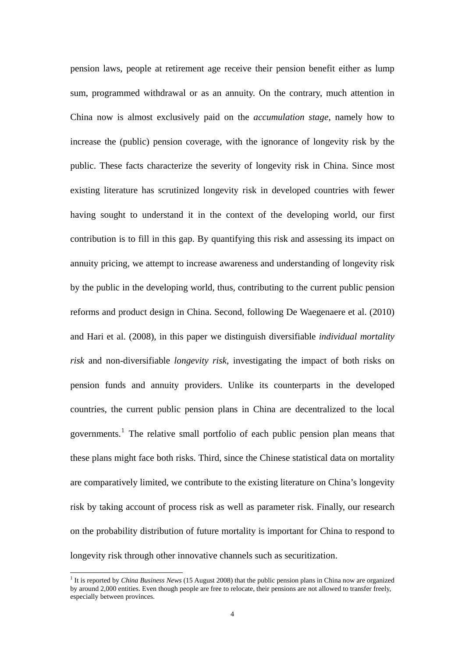pension laws, people at retirement age receive their pension benefit either as lump sum, programmed withdrawal or as an annuity. On the contrary, much attention in China now is almost exclusively paid on the *accumulation stage*, namely how to increase the (public) pension coverage, with the ignorance of longevity risk by the public. These facts characterize the severity of longevity risk in China. Since most existing literature has scrutinized longevity risk in developed countries with fewer having sought to understand it in the context of the developing world, our first contribution is to fill in this gap. By quantifying this risk and assessing its impact on annuity pricing, we attempt to increase awareness and understanding of longevity risk by the public in the developing world, thus, contributing to the current public pension reforms and product design in China. Second, following De Waegenaere et al. (2010) and Hari et al. (2008), in this paper we distinguish diversifiable *individual mortality risk* and non-diversifiable *longevity risk*, investigating the impact of both risks on pension funds and annuity providers. Unlike its counterparts in the developed countries, the current public pension plans in China are decentralized to the local governments.<sup>[1](#page-4-0)</sup> The relative small portfolio of each public pension plan means that these plans might face both risks. Third, since the Chinese statistical data on mortality are comparatively limited, we contribute to the existing literature on China's longevity risk by taking account of process risk as well as parameter risk. Finally, our research on the probability distribution of future mortality is important for China to respond to longevity risk through other innovative channels such as securitization.

-

<span id="page-4-0"></span><sup>&</sup>lt;sup>1</sup> It is reported by *China Business News* (15 August 2008) that the public pension plans in China now are organized by around 2,000 entities. Even though people are free to relocate, their pensions are not allowed to transfer freely, especially between provinces.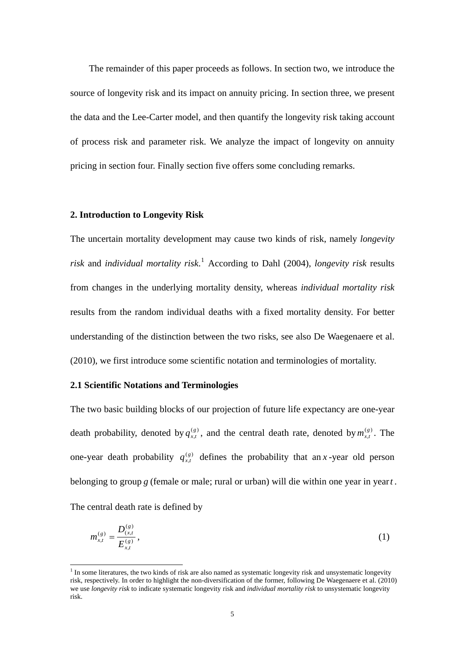The remainder of this paper proceeds as follows. In section two, we introduce the source of longevity risk and its impact on annuity pricing. In section three, we present the data and the Lee-Carter model, and then quantify the longevity risk taking account of process risk and parameter risk. We analyze the impact of longevity on annuity pricing in section four. Finally section five offers some concluding remarks.

#### **2. Introduction to Longevity Risk**

The uncertain mortality development may cause two kinds of risk, namely *longevity risk* and *individual mortality risk*. [1](#page-5-0) According to Dahl (2004), *longevity risk* results from changes in the underlying mortality density, whereas *individual mortality risk* results from the random individual deaths with a fixed mortality density. For better understanding of the distinction between the two risks, see also De Waegenaere et al. (2010), we first introduce some scientific notation and terminologies of mortality.

### **2.1 Scientific Notations and Terminologies**

The two basic building blocks of our projection of future life expectancy are one-year death probability, denoted by  $q_{xt}^{(g)}$ , and the central death rate, denoted by  $m_{xt}^{(g)}$ . The one-year death probability  $q_{r}^{(g)}$  defines the probability that an ,  $q_{x,t}^{(g)}$ , and the central death rate, denoted by  $m_{x,t}^{(g)}$ ,  $q_{x,t}^{(g)}$  defines the probability that an x-year old person belonging to group *g* (female or male; rural or urban) will die within one year in year*t* .

The central death rate is defined by

$$
m_{x,t}^{(g)} = \frac{D_{(x,t)}^{(g)}}{E_{x,t}^{(g)}},
$$
\n(1)

<span id="page-5-0"></span>The some literatures, the two kinds of risk are also named as systematic longevity risk and unsystematic longevity risk, respectively. In order to highlight the non-diversification of the former, following De Waegenaere et al. (2010) we use *longevity risk* to indicate systematic longevity risk and *individual mortality risk* to unsystematic longevity risk.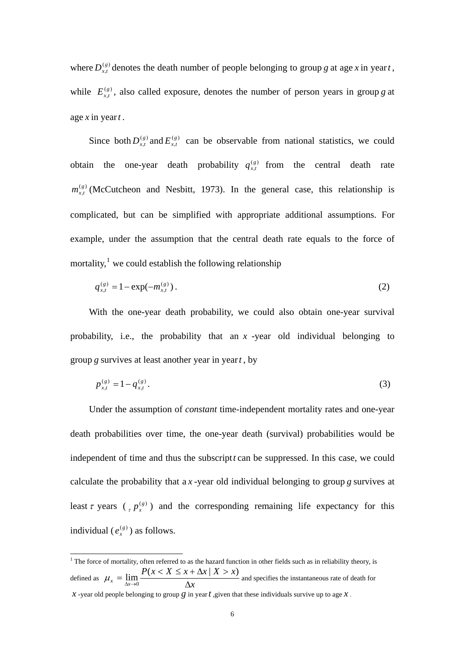where  $D_{x,t}^{(g)}$  denotes the death number of people belonging to group g at age x in year t, while  $E_{x,t}^{(g)}$ , also called exposure, denotes the number of person years in group g at age *x* in year*t* .

Since both  $D_{rt}^{(g)}$  and  $E_{rt}^{(g)}$  can be observable from national statistics, we could obtain the one-year death probability  $q_{x}^{(g)}$  from the central death rate  $\binom{(g)}{x}$  (McCutcheon and Nesbitt, 1973). In the general case, this relationship is complicated, but can be simplified with appropriate additional assumptions. For example, under the assumption that the central death rate equals to the force of mortality,<sup>[1](#page-6-0)</sup> we could establish the following relationship  $D_{x,t}^{(g)}$  and  $E_{x,t}^{(g)}$  $E_{x,t}^{(g)}$ ,  $q_{\scriptscriptstyle x,t}^{\scriptscriptstyle (g)}$  $m_{\scriptscriptstyle x,t}^{\scriptscriptstyle (g)}$ 

$$
q_{x,t}^{(g)} = 1 - \exp(-m_{x,t}^{(g)})\,. \tag{2}
$$

With the one-year death probability, we could also obtain one-year survival probability, i.e., the probability that an *x* -year old individual belonging to group *g* survives at least another year in year*t* , by

$$
p_{x,t}^{(g)} = 1 - q_{x,t}^{(g)}.
$$
 (3)

Under the assumption of *constant* time-independent mortality rates and one-year death probabilities over time, the one-year death (survival) probabilities would be independent of time and thus the subscript*t* can be suppressed. In this case, we could calculate the probability that a *x* -year old individual belonging to group *g* survives at least  $\tau$  years ( $\tau$   $p_x^{(g)}$ ) and the corresponding remaining life expectancy for this individual ( $e_x^{(g)}$ ) as follows.

<span id="page-6-0"></span>The force of mortality, often referred to as the hazard function in other fields such as in reliability theory, is defined as  $\mu_x = \lim_{\Delta x \to 0} \frac{1}{\Delta x}$  $P(x < X \leq x + \Delta x \mid X > x$  $\mu_x = \lim_{\Delta x \to 0} \frac{P(x < X \leq x + \Delta x \mid X > x)}{\Delta x}$  and specifies the instantaneous rate of death for *x* -year old people belonging to group *g* in year *t*, given that these individuals survive up to age *x*.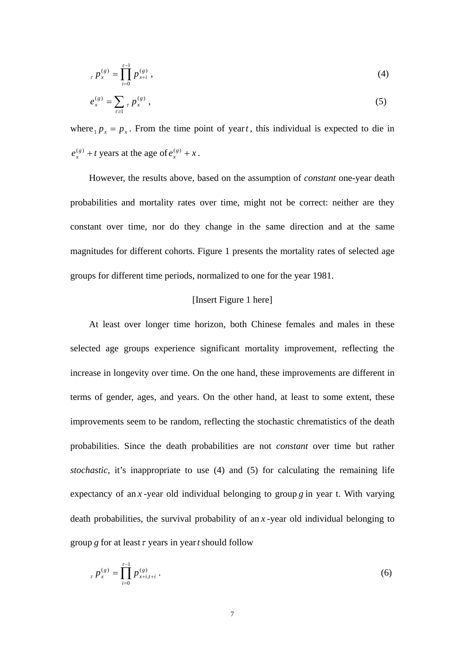$$
P_x(p_x^{(g)}) = \prod_{i=0}^{x-1} p_{x+i}^{(g)}, \qquad (4)
$$

$$
e_x^{(g)} = \sum_{\tau \ge 1} \tau P_x^{(g)} \,, \tag{5}
$$

where  $_{1}p_{x} = p_{x}$ . From the time point of year*t*, this individual is expected to die in  $e_x^{(g)} + t$  years at the age of  $e_x^{(g)} + x$ .

 However, the results above, based on the assumption of *constant* one-year death probabilities and mortality rates over time, might not be correct: neither are they constant over time, nor do they change in the same direction and at the same magnitudes for different cohorts. Figure 1 presents the mortality rates of selected age groups for different time periods, normalized to one for the year 1981.

#### [Insert Figure 1 here]

At least over longer time horizon, both Chinese females and males in these selected age groups experience significant mortality improvement, reflecting the increase in longevity over time. On the one hand, these improvements are different in terms of gender, ages, and years. On the other hand, at least to some extent, these improvements seem to be random, reflecting the stochastic chrematistics of the death probabilities. Since the death probabilities are not *constant* over time but rather *stochastic*, it's inappropriate to use (4) and (5) for calculating the remaining life expectancy of an *x* -year old individual belonging to group *g* in year t. With varying death probabilities, the survival probability of an *x* -year old individual belonging to group *g* for at least  $\tau$  years in year *t* should follow

$$
{}_{\tau} p_{x}^{(g)} = \prod_{i=0}^{\tau-1} p_{x+i,t+i}^{(g)} \,. \tag{6}
$$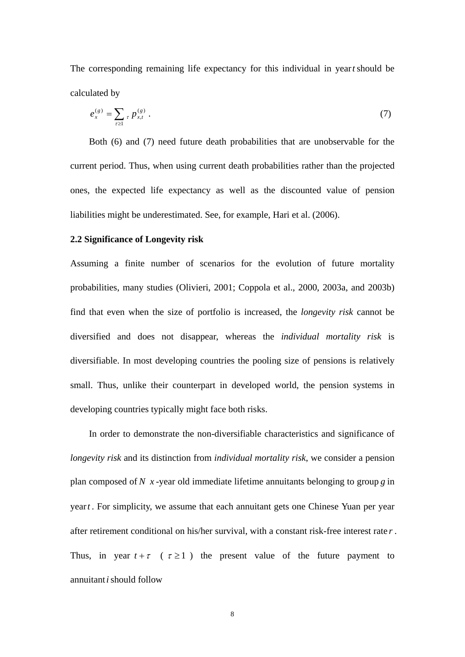The corresponding remaining life expectancy for this individual in year*t*should be calculated by

$$
e_x^{(g)} = \sum_{\tau \ge 1} \tau P_{x,t}^{(g)} \; . \tag{7}
$$

Both (6) and (7) need future death probabilities that are unobservable for the current period. Thus, when using current death probabilities rather than the projected ones, the expected life expectancy as well as the discounted value of pension liabilities might be underestimated. See, for example, Hari et al. (2006).

#### **2.2 Significance of Longevity risk**

Assuming a finite number of scenarios for the evolution of future mortality probabilities, many studies (Olivieri, 2001; Coppola et al., 2000, 2003a, and 2003b) find that even when the size of portfolio is increased, the *longevity risk* cannot be diversified and does not disappear, whereas the *individual mortality risk* is diversifiable. In most developing countries the pooling size of pensions is relatively small. Thus, unlike their counterpart in developed world, the pension systems in developing countries typically might face both risks.

In order to demonstrate the non-diversifiable characteristics and significance of *longevity risk* and its distinction from *individual mortality risk*, we consider a pension plan composed of *N x* -year old immediate lifetime annuitants belonging to group *g* in year *t*. For simplicity, we assume that each annuitant gets one Chinese Yuan per year after retirement conditional on his/her survival, with a constant risk-free interest rate *r* . Thus, in year  $t + \tau$  ( $\tau \ge 1$ ) the present value of the future payment to annuitant*i*should follow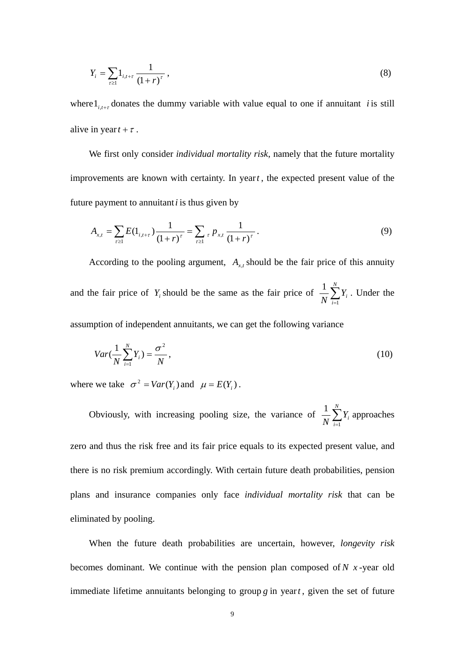$$
Y_i = \sum_{r \ge 1} 1_{i, t+r} \frac{1}{(1+r)^r},\tag{8}
$$

where  $l_{i,t+\tau}$  donates the dummy variable with value equal to one if annuitant *i* is still alive in year  $t + \tau$ .

We first only consider *individual mortality risk*, namely that the future mortality improvements are known with certainty. In year*t* , the expected present value of the future payment to annuitant*i* is thus given by

$$
A_{x,t} = \sum_{r \ge 1} E(1_{i,t+r}) \frac{1}{(1+r)^r} = \sum_{r \ge 1} {}_{r} p_{x,t} \frac{1}{(1+r)^r}.
$$
 (9)

According to the pooling argument,  $A_{x,t}$  should be the fair price of this annuity and the fair price of  $Y_i$  should be the same as the fair price of  $\frac{1}{N} \sum_{i=1}^{N}$  $\frac{1}{N} \sum_{i=1}^{N} Y_i$ . Under the

assumption of independent annuitants, we can get the following variance

$$
Var(\frac{1}{N}\sum_{i=1}^{N}Y_i) = \frac{\sigma^2}{N},
$$
\n(10)

where we take  $\sigma^2 = Var(Y_i)$  and  $\mu = E(Y_i)$ .

Obviously, with increasing pooling size, the variance of  $\frac{1}{N} \sum_{i=1}^{N}$  $\frac{1}{N} \sum_{i=1}^{N} Y_i$  approaches

zero and thus the risk free and its fair price equals to its expected present value, and there is no risk premium accordingly. With certain future death probabilities, pension plans and insurance companies only face *individual mortality risk* that can be eliminated by pooling.

When the future death probabilities are uncertain, however, *longevity risk* becomes dominant. We continue with the pension plan composed of  $N$   $x$ -year old immediate lifetime annuitants belonging to group *g* in year*t* , given the set of future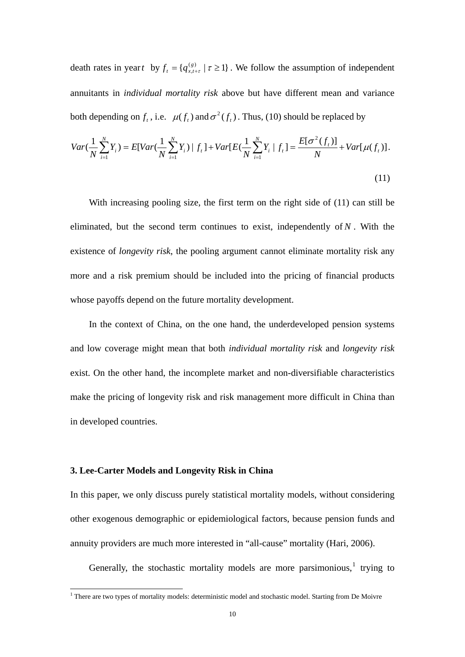death rates in year *t* by  $f_t = \{q_{x,t+\tau}^{(g)} \mid \tau \geq 1\}$ . We follow the assumption of independent annuitants in *individual mortality risk* above but have different mean and variance both depending on  $f_t$ , i.e.  $\mu(f_t)$  and  $\sigma^2(f_t)$ . Thus, (10) should be replaced by

$$
Var(\frac{1}{N}\sum_{i=1}^{N}Y_{i}) = E[Var(\frac{1}{N}\sum_{i=1}^{N}Y_{i}) | f_{t}] + Var[E(\frac{1}{N}\sum_{i=1}^{N}Y_{i} | f_{t}] = \frac{E[\sigma^{2}(f_{t})]}{N} + Var[\mu(f_{t})].
$$
\n(11)

With increasing pooling size, the first term on the right side of (11) can still be eliminated, but the second term continues to exist, independently of  $N$ . With the existence of *longevity risk*, the pooling argument cannot eliminate mortality risk any more and a risk premium should be included into the pricing of financial products whose payoffs depend on the future mortality development.

In the context of China, on the one hand, the underdeveloped pension systems and low coverage might mean that both *individual mortality risk* and *longevity risk* exist. On the other hand, the incomplete market and non-diversifiable characteristics make the pricing of longevity risk and risk management more difficult in China than in developed countries.

#### **3. Lee-Carter Models and Longevity Risk in China**

In this paper, we only discuss purely statistical mortality models, without considering other exogenous demographic or epidemiological factors, because pension funds and annuity providers are much more interested in "all-cause" mortality (Hari, 2006).

Generally, the stochastic mortality models are more parsimonious, $<sup>1</sup>$  $<sup>1</sup>$  $<sup>1</sup>$  trying to</sup>

<span id="page-10-0"></span>There are two types of mortality models: deterministic model and stochastic model. Starting from De Moivre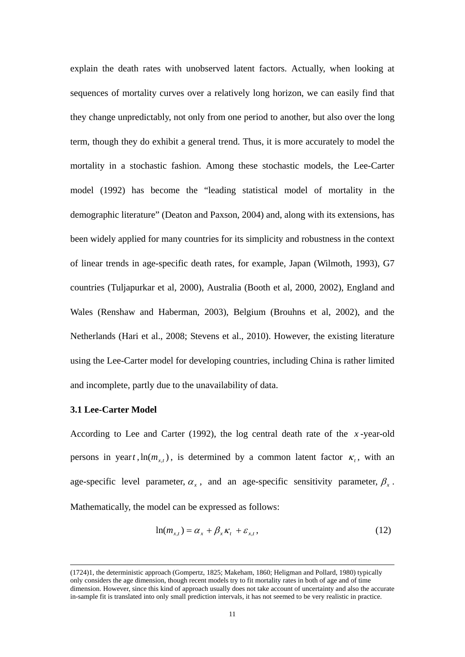explain the death rates with unobserved latent factors. Actually, when looking at sequences of mortality curves over a relatively long horizon, we can easily find that they change unpredictably, not only from one period to another, but also over the long term, though they do exhibit a general trend. Thus, it is more accurately to model the mortality in a stochastic fashion. Among these stochastic models, the Lee-Carter model (1992) has become the "leading statistical model of mortality in the demographic literature" (Deaton and Paxson, 2004) and, along with its extensions, has been widely applied for many countries for its simplicity and robustness in the context of linear trends in age-specific death rates, for example, Japan (Wilmoth, 1993), G7 countries (Tuljapurkar et al, 2000), Australia (Booth et al, 2000, 2002), England and Wales (Renshaw and Haberman, 2003), Belgium (Brouhns et al, 2002), and the Netherlands (Hari et al., 2008; Stevens et al., 2010). However, the existing literature using the Lee-Carter model for developing countries, including China is rather limited and incomplete, partly due to the unavailability of data.

#### **3.1 Lee-Carter Model**

-

According to Lee and Carter (1992), the log central death rate of the *x* -year-old persons in year *t*,  $\ln(m_{rt})$ , is determined by a common latent factor  $\kappa_t$ , with an age-specific level parameter,  $\alpha_x$ , and an age-specific sensitivity parameter,  $\beta_x$ . Mathematically, the model can be expressed as follows:

$$
\ln(m_{x,t}) = \alpha_x + \beta_x \kappa_t + \varepsilon_{x,t},\tag{12}
$$

<sup>(1724)1,</sup> the deterministic approach (Gompertz, 1825; Makeham, 1860; Heligman and Pollard, 1980) typically only considers the age dimension, though recent models try to fit mortality rates in both of age and of time dimension. However, since this kind of approach usually does not take account of uncertainty and also the accurate in-sample fit is translated into only small prediction intervals, it has not seemed to be very realistic in practice.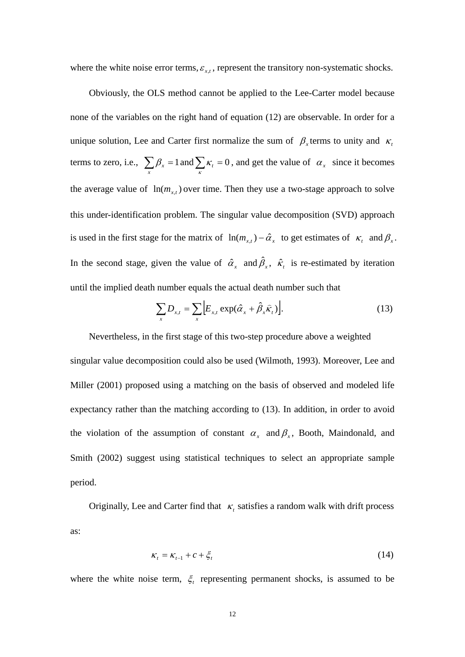where the white noise error terms,  $\varepsilon_{xt}$ , represent the transitory non-systematic shocks.

Obviously, the OLS method cannot be applied to the Lee-Carter model because none of the variables on the right hand of equation (12) are observable. In order for a unique solution, Lee and Carter first normalize the sum of  $\beta_x$  terms to unity and  $\kappa_t$ terms to zero, i.e.,  $\sum_{x} \beta_x = 1$  and  $\sum_{x} \kappa_t = 0$ , and get the value of  $\alpha_x$  since it becomes the average value of  $\ln(m_{x,t})$  over time. Then they use a two-stage approach to solve this under-identification problem. The singular value decomposition (SVD) approach is used in the first stage for the matrix of  $\ln(m_{x,t}) - \hat{\alpha}_x$  to get estimates of  $\kappa_t$  and  $\beta_x$ . In the second stage, given the value of  $\hat{\alpha}_x$  and  $\hat{\beta}_x$ ,  $\hat{\kappa}_t$  is re-estimated by iteration until the implied death number equals the actual death number such that

$$
\sum_{x} D_{x,t} = \sum_{x} \Big[ E_{x,t} \exp(\hat{\alpha}_x + \hat{\beta}_x \hat{\kappa}_t) \Big]. \tag{13}
$$

Nevertheless, in the first stage of this two-step procedure above a weighted singular value decomposition could also be used (Wilmoth, 1993). Moreover, Lee and Miller (2001) proposed using a matching on the basis of observed and modeled life expectancy rather than the matching according to (13). In addition, in order to avoid the violation of the assumption of constant  $\alpha_x$  and  $\beta_x$ , Booth, Maindonald, and Smith (2002) suggest using statistical techniques to select an appropriate sample period.

Originally, Lee and Carter find that  $\kappa_t$  satisfies a random walk with drift process as:

$$
\kappa_t = \kappa_{t-1} + c + \xi_t \tag{14}
$$

where the white noise term,  $\xi_t$  representing permanent shocks, is assumed to be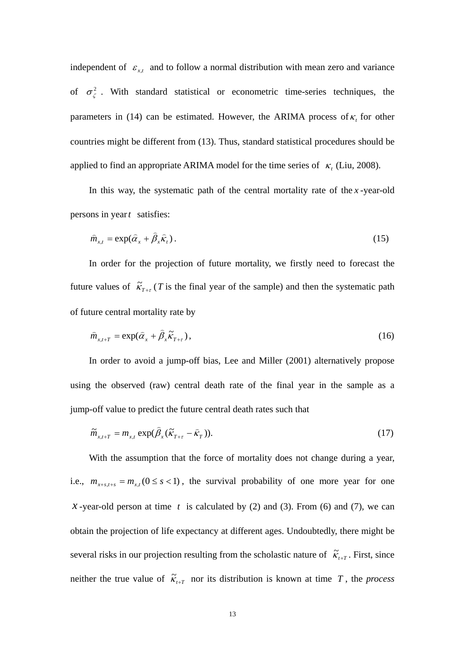independent of  $\varepsilon_{x,t}$  and to follow a normal distribution with mean zero and variance of  $\sigma_{\zeta}^2$ . With standard statistical or econometric time-series techniques, the parameters in (14) can be estimated. However, the ARIMA process of  $\kappa$ <sub>t</sub> for other countries might be different from (13). Thus, standard statistical procedures should be applied to find an appropriate ARIMA model for the time series of  $\kappa_t$  (Liu, 2008).

In this way, the systematic path of the central mortality rate of the *x* -year-old persons in year*t* satisfies:

$$
\hat{m}_{x,t} = \exp(\hat{\alpha}_x + \hat{\beta}_x \hat{\kappa}_t). \tag{15}
$$

In order for the projection of future mortality, we firstly need to forecast the future values of  $\tilde{\kappa}_{T+\tau}$  (*T* is the final year of the sample) and then the systematic path of future central mortality rate by

$$
\hat{m}_{x,t+T} = \exp(\hat{\alpha}_x + \hat{\beta}_x \tilde{\kappa}_{T+\tau}),
$$
\n(16)

In order to avoid a jump-off bias, Lee and Miller (2001) alternatively propose using the observed (raw) central death rate of the final year in the sample as a jump-off value to predict the future central death rates such that

$$
\widetilde{m}_{x,t+T} = m_{x,t} \exp(\widehat{\beta}_x (\widetilde{\kappa}_{T+\tau} - \widehat{\kappa}_T)). \tag{17}
$$

With the assumption that the force of mortality does not change during a year, i.e.,  $m_{x+s,t+s} = m_{x,t} (0 \le s < 1)$ , the survival probability of one more year for one *x*-year-old person at time  $t$  is calculated by (2) and (3). From (6) and (7), we can obtain the projection of life expectancy at different ages. Undoubtedly, there might be several risks in our projection resulting from the scholastic nature of  $\tilde{\kappa}_{t+T}$ . First, since neither the true value of  $\tilde{\kappa}_{t+T}$  nor its distribution is known at time *T*, the *process*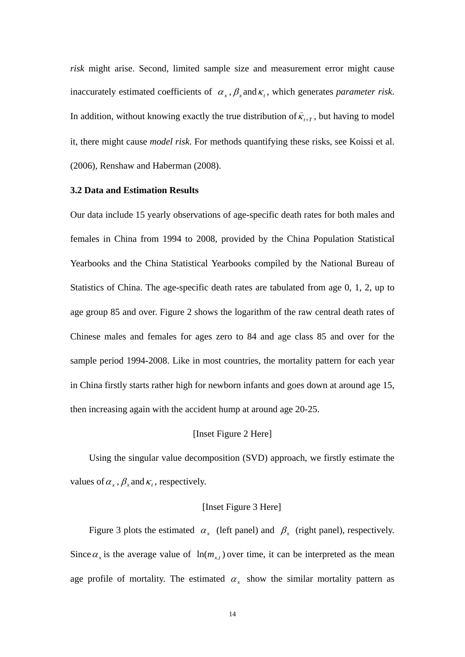*risk* might arise. Second, limited sample size and measurement error might cause inaccurately estimated coefficients of  $\alpha_r$ ,  $\beta_r$  and  $\kappa_t$ , which generates *parameter risk*. In addition, without knowing exactly the true distribution of  $\hat{\kappa}_{t+T}$ , but having to model it, there might cause *model risk*. For methods quantifying these risks, see Koissi et al. (2006), Renshaw and Haberman (2008).

### **3.2 Data and Estimation Results**

Our data include 15 yearly observations of age-specific death rates for both males and females in China from 1994 to 2008, provided by the China Population Statistical Yearbooks and the China Statistical Yearbooks compiled by the National Bureau of Statistics of China. The age-specific death rates are tabulated from age 0, 1, 2, up to age group 85 and over. Figure 2 shows the logarithm of the raw central death rates of Chinese males and females for ages zero to 84 and age class 85 and over for the sample period 1994-2008. Like in most countries, the mortality pattern for each year in China firstly starts rather high for newborn infants and goes down at around age 15, then increasing again with the accident hump at around age 20-25.

#### [Inset Figure 2 Here]

Using the singular value decomposition (SVD) approach, we firstly estimate the values of  $\alpha_x$ ,  $\beta_x$  and  $\kappa_t$ , respectively.

#### [Inset Figure 3 Here]

Figure 3 plots the estimated  $\alpha_x$  (left panel) and  $\beta_x$  (right panel), respectively. Since  $\alpha_x$  is the average value of  $\ln(m_{x,t})$  over time, it can be interpreted as the mean age profile of mortality. The estimated  $\alpha_x$  show the similar mortality pattern as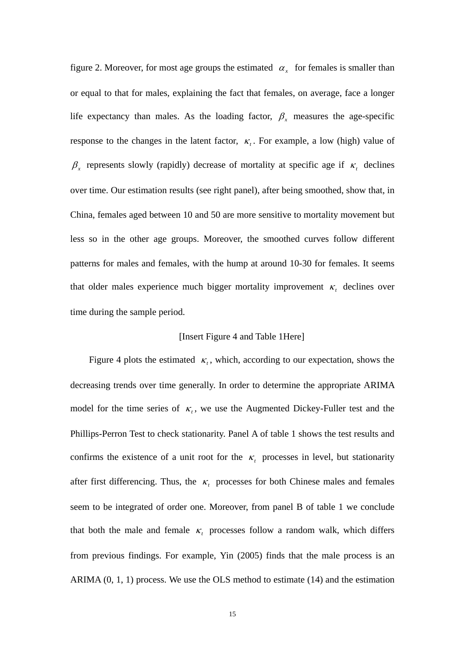figure 2. Moreover, for most age groups the estimated  $\alpha_x$  for females is smaller than or equal to that for males, explaining the fact that females, on average, face a longer life expectancy than males. As the loading factor,  $\beta$ <sub>x</sub> measures the age-specific response to the changes in the latent factor,  $\kappa$ . For example, a low (high) value of  $\beta$ <sub>x</sub> represents slowly (rapidly) decrease of mortality at specific age if  $\kappa$ , declines over time. Our estimation results (see right panel), after being smoothed, show that, in China, females aged between 10 and 50 are more sensitive to mortality movement but less so in the other age groups. Moreover, the smoothed curves follow different patterns for males and females, with the hump at around 10-30 for females. It seems that older males experience much bigger mortality improvement  $\kappa$ , declines over time during the sample period.

#### [Insert Figure 4 and Table 1Here]

Figure 4 plots the estimated  $\kappa_t$ , which, according to our expectation, shows the decreasing trends over time generally. In order to determine the appropriate ARIMA model for the time series of  $\kappa$ , we use the Augmented Dickey-Fuller test and the Phillips-Perron Test to check stationarity. Panel A of table 1 shows the test results and confirms the existence of a unit root for the  $\kappa$ , processes in level, but stationarity after first differencing. Thus, the  $\kappa$  processes for both Chinese males and females seem to be integrated of order one. Moreover, from panel B of table 1 we conclude that both the male and female  $\kappa$ , processes follow a random walk, which differs from previous findings. For example, Yin (2005) finds that the male process is an ARIMA (0, 1, 1) process. We use the OLS method to estimate (14) and the estimation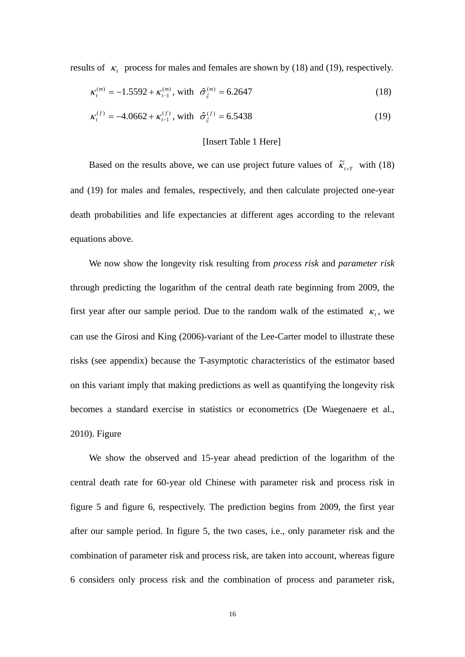results of  $\kappa$ , process for males and females are shown by (18) and (19), respectively.

$$
\kappa_t^{(m)} = -1.5592 + \kappa_{t-1}^{(m)}, \text{ with } \hat{\sigma}_{\xi}^{(m)} = 6.2647 \tag{18}
$$

$$
\kappa_t^{(f)} = -4.0662 + \kappa_{t-1}^{(f)}, \text{ with } \hat{\sigma}_{\xi}^{(f)} = 6.5438 \tag{19}
$$

#### [Insert Table 1 Here]

Based on the results above, we can use project future values of  $\tilde{\kappa}_{t+T}$  with (18) and (19) for males and females, respectively, and then calculate projected one-year death probabilities and life expectancies at different ages according to the relevant equations above.

We now show the longevity risk resulting from *process risk* and *parameter risk* through predicting the logarithm of the central death rate beginning from 2009, the first year after our sample period. Due to the random walk of the estimated  $\kappa$ , we can use the Girosi and King (2006)-variant of the Lee-Carter model to illustrate these risks (see appendix) because the T-asymptotic characteristics of the estimator based on this variant imply that making predictions as well as quantifying the longevity risk becomes a standard exercise in statistics or econometrics (De Waegenaere et al., 2010). Figure

We show the observed and 15-year ahead prediction of the logarithm of the central death rate for 60-year old Chinese with parameter risk and process risk in figure 5 and figure 6, respectively. The prediction begins from 2009, the first year after our sample period. In figure 5, the two cases, i.e., only parameter risk and the combination of parameter risk and process risk, are taken into account, whereas figure 6 considers only process risk and the combination of process and parameter risk,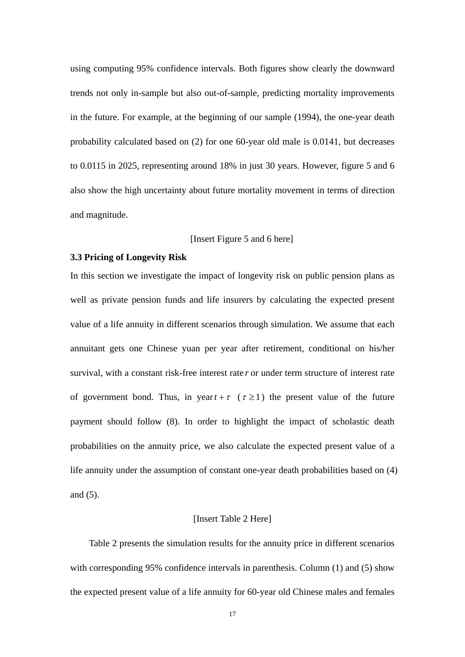using computing 95% confidence intervals. Both figures show clearly the downward trends not only in-sample but also out-of-sample, predicting mortality improvements in the future. For example, at the beginning of our sample (1994), the one-year death probability calculated based on (2) for one 60-year old male is 0.0141, but decreases to 0.0115 in 2025, representing around 18% in just 30 years. However, figure 5 and 6 also show the high uncertainty about future mortality movement in terms of direction and magnitude.

#### [Insert Figure 5 and 6 here]

#### **3.3 Pricing of Longevity Risk**

In this section we investigate the impact of longevity risk on public pension plans as well as private pension funds and life insurers by calculating the expected present value of a life annuity in different scenarios through simulation. We assume that each annuitant gets one Chinese yuan per year after retirement, conditional on his/her survival, with a constant risk-free interest rate *r* or under term structure of interest rate of government bond. Thus, in year  $t + \tau$  ( $\tau \ge 1$ ) the present value of the future payment should follow (8). In order to highlight the impact of scholastic death probabilities on the annuity price, we also calculate the expected present value of a life annuity under the assumption of constant one-year death probabilities based on (4) and (5).

#### [Insert Table 2 Here]

Table 2 presents the simulation results for the annuity price in different scenarios with corresponding 95% confidence intervals in parenthesis. Column (1) and (5) show the expected present value of a life annuity for 60-year old Chinese males and females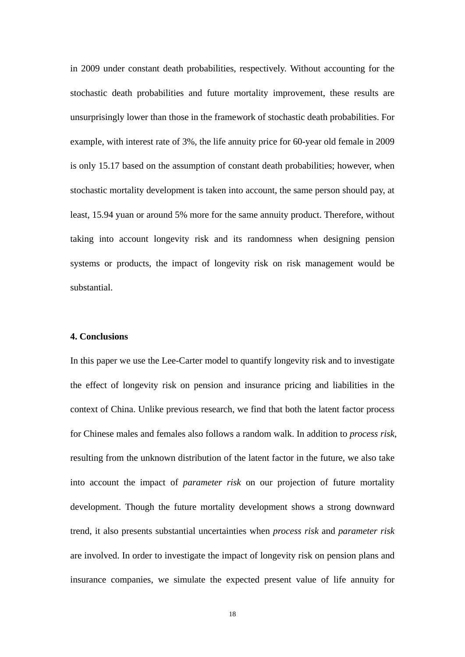in 2009 under constant death probabilities, respectively. Without accounting for the stochastic death probabilities and future mortality improvement, these results are unsurprisingly lower than those in the framework of stochastic death probabilities. For example, with interest rate of 3%, the life annuity price for 60-year old female in 2009 is only 15.17 based on the assumption of constant death probabilities; however, when stochastic mortality development is taken into account, the same person should pay, at least, 15.94 yuan or around 5% more for the same annuity product. Therefore, without taking into account longevity risk and its randomness when designing pension systems or products, the impact of longevity risk on risk management would be substantial.

### **4. Conclusions**

In this paper we use the Lee-Carter model to quantify longevity risk and to investigate the effect of longevity risk on pension and insurance pricing and liabilities in the context of China. Unlike previous research, we find that both the latent factor process for Chinese males and females also follows a random walk. In addition to *process risk,* resulting from the unknown distribution of the latent factor in the future, we also take into account the impact of *parameter risk* on our projection of future mortality development. Though the future mortality development shows a strong downward trend, it also presents substantial uncertainties when *process risk* and *parameter risk* are involved. In order to investigate the impact of longevity risk on pension plans and insurance companies, we simulate the expected present value of life annuity for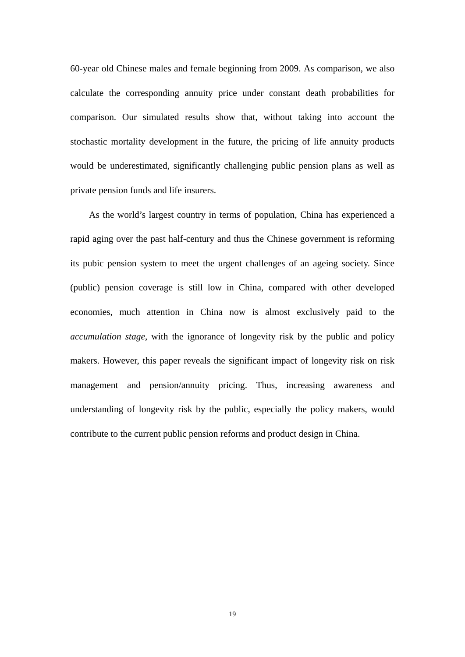60-year old Chinese males and female beginning from 2009. As comparison, we also calculate the corresponding annuity price under constant death probabilities for comparison. Our simulated results show that, without taking into account the stochastic mortality development in the future, the pricing of life annuity products would be underestimated, significantly challenging public pension plans as well as private pension funds and life insurers.

As the world's largest country in terms of population, China has experienced a rapid aging over the past half-century and thus the Chinese government is reforming its pubic pension system to meet the urgent challenges of an ageing society. Since (public) pension coverage is still low in China, compared with other developed economies, much attention in China now is almost exclusively paid to the *accumulation stage*, with the ignorance of longevity risk by the public and policy makers. However, this paper reveals the significant impact of longevity risk on risk management and pension/annuity pricing. Thus, increasing awareness and understanding of longevity risk by the public, especially the policy makers, would contribute to the current public pension reforms and product design in China.

19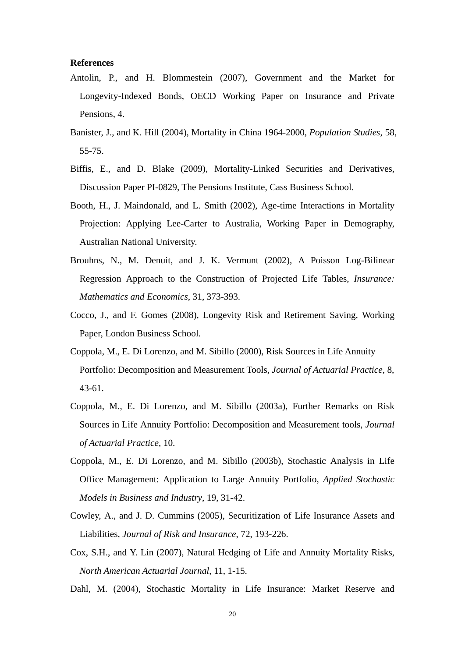#### **References**

- Antolin, P., and H. Blommestein (2007), Government and the Market for Longevity-Indexed Bonds, OECD Working Paper on Insurance and Private Pensions, 4.
- Banister, J., and K. Hill (2004), Mortality in China 1964-2000, *Population Studies*, 58, 55-75.
- Biffis, E., and D. Blake (2009), Mortality-Linked Securities and Derivatives, Discussion Paper PI-0829, The Pensions Institute, Cass Business School.
- Booth, H., J. Maindonald, and L. Smith (2002), Age-time Interactions in Mortality Projection: Applying Lee-Carter to Australia, Working Paper in Demography, Australian National University.
- Brouhns, N., M. Denuit, and J. K. Vermunt (2002), A Poisson Log-Bilinear Regression Approach to the Construction of Projected Life Tables, *Insurance: Mathematics and Economics*, 31, 373-393.
- Cocco, J., and F. Gomes (2008), Longevity Risk and Retirement Saving, Working Paper, London Business School.
- Coppola, M., E. Di Lorenzo, and M. Sibillo (2000), Risk Sources in Life Annuity Portfolio: Decomposition and Measurement Tools, *Journal of Actuarial Practice*, 8, 43-61.
- Coppola, M., E. Di Lorenzo, and M. Sibillo (2003a), Further Remarks on Risk Sources in Life Annuity Portfolio: Decomposition and Measurement tools, *Journal of Actuarial Practice*, 10.
- Coppola, M., E. Di Lorenzo, and M. Sibillo (2003b), Stochastic Analysis in Life Office Management: Application to Large Annuity Portfolio, *Applied Stochastic Models in Business and Industry*, 19, 31-42.
- Cowley, A., and J. D. Cummins (2005), Securitization of Life Insurance Assets and Liabilities, *Journal of Risk and Insurance*, 72, 193-226.
- Cox, S.H., and Y. Lin (2007), Natural Hedging of Life and Annuity Mortality Risks, *North American Actuarial Journal*, 11, 1-15.
- Dahl, M. (2004), Stochastic Mortality in Life Insurance: Market Reserve and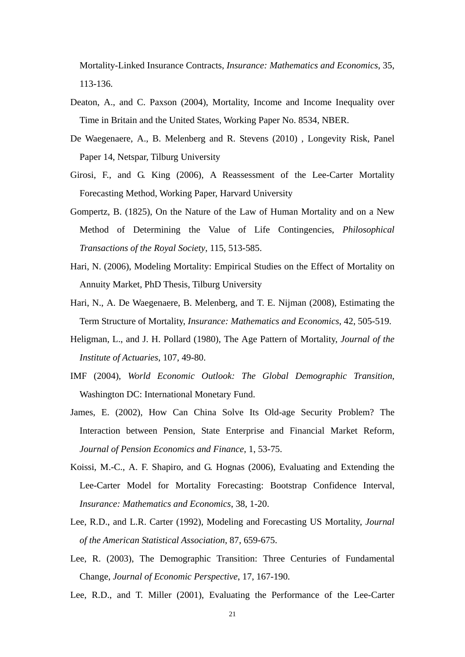Mortality-Linked Insurance Contracts, *Insurance: Mathematics and Economics*, 35, 113-136.

- Deaton, A., and C. Paxson (2004), Mortality, Income and Income Inequality over Time in Britain and the United States, Working Paper No. 8534, NBER.
- De Waegenaere, A., B. Melenberg and R. Stevens (2010) , Longevity Risk, Panel Paper 14, Netspar, Tilburg University
- Girosi, F., and G. King (2006), A Reassessment of the Lee-Carter Mortality Forecasting Method, Working Paper, Harvard University
- Gompertz, B. (1825), On the Nature of the Law of Human Mortality and on a New Method of Determining the Value of Life Contingencies, *Philosophical Transactions of the Royal Society*, 115, 513-585.
- Hari, N. (2006), Modeling Mortality: Empirical Studies on the Effect of Mortality on Annuity Market, PhD Thesis, Tilburg University
- Hari, N., A. De Waegenaere, B. Melenberg, and T. E. Nijman (2008), Estimating the Term Structure of Mortality, *Insurance: Mathematics and Economics*, 42, 505-519.
- Heligman, L., and J. H. Pollard (1980), The Age Pattern of Mortality, *Journal of the Institute of Actuaries*, 107, 49-80.
- IMF (2004), *World Economic Outlook: The Global Demographic Transition*, Washington DC: International Monetary Fund.
- James, E. (2002), How Can China Solve Its Old-age Security Problem? The Interaction between Pension, State Enterprise and Financial Market Reform, *Journal of Pension Economics and Finance*, 1, 53-75.
- Koissi, M.-C., A. F. Shapiro, and G. Hognas (2006), Evaluating and Extending the Lee-Carter Model for Mortality Forecasting: Bootstrap Confidence Interval, *Insurance: Mathematics and Economics*, 38, 1-20.
- Lee, R.D., and L.R. Carter (1992), Modeling and Forecasting US Mortality, *Journal of the American Statistical Association*, 87, 659-675.
- Lee, R. (2003), The Demographic Transition: Three Centuries of Fundamental Change, *Journal of Economic Perspective*, 17, 167-190.
- Lee, R.D., and T. Miller (2001), Evaluating the Performance of the Lee-Carter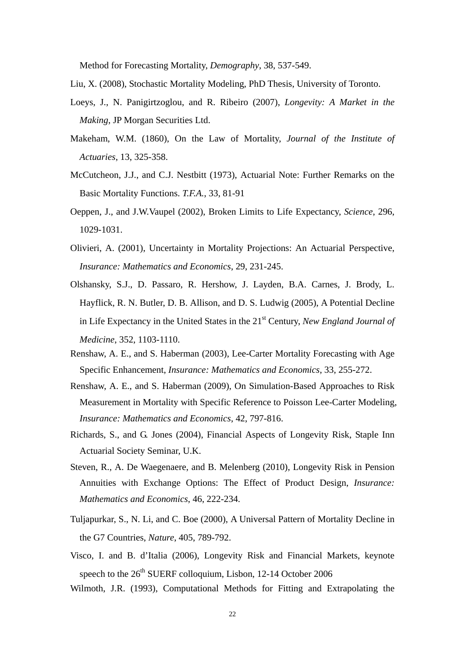Method for Forecasting Mortality, *Demography*, 38, 537-549.

- Liu, X. (2008), Stochastic Mortality Modeling, PhD Thesis, University of Toronto.
- Loeys, J., N. Panigirtzoglou, and R. Ribeiro (2007), *Longevity: A Market in the Making*, JP Morgan Securities Ltd.
- Makeham, W.M. (1860), On the Law of Mortality, *Journal of the Institute of Actuaries*, 13, 325-358.
- McCutcheon, J.J., and C.J. Nestbitt (1973), Actuarial Note: Further Remarks on the Basic Mortality Functions. *T.F.A.*, 33, 81-91
- Oeppen, J., and J.W.Vaupel (2002), Broken Limits to Life Expectancy, *Science*, 296, 1029-1031.
- Olivieri, A. (2001), Uncertainty in Mortality Projections: An Actuarial Perspective, *Insurance: Mathematics and Economics*, 29, 231-245.
- Olshansky, S.J., D. Passaro, R. Hershow, J. Layden, B.A. Carnes, J. Brody, L. Hayflick, R. N. Butler, D. B. Allison, and D. S. Ludwig (2005), A Potential Decline in Life Expectancy in the United States in the 21st Century, *New England Journal of Medicine*, 352, 1103-1110.
- Renshaw, A. E., and S. Haberman (2003), Lee-Carter Mortality Forecasting with Age Specific Enhancement, *Insurance: Mathematics and Economics*, 33, 255-272.
- Renshaw, A. E., and S. Haberman (2009), On Simulation-Based Approaches to Risk Measurement in Mortality with Specific Reference to Poisson Lee-Carter Modeling, *Insurance: Mathematics and Economics*, 42, 797-816.
- Richards, S., and G. Jones (2004), Financial Aspects of Longevity Risk, Staple Inn Actuarial Society Seminar, U.K.
- Steven, R., A. De Waegenaere, and B. Melenberg (2010), Longevity Risk in Pension Annuities with Exchange Options: The Effect of Product Design, *Insurance: Mathematics and Economics*, 46, 222-234.
- Tuljapurkar, S., N. Li, and C. Boe (2000), A Universal Pattern of Mortality Decline in the G7 Countries, *Nature*, 405, 789-792.
- Visco, I. and B. d'Italia (2006), Longevity Risk and Financial Markets, keynote speech to the  $26<sup>th</sup>$  SUERF colloquium, Lisbon, 12-14 October 2006

Wilmoth, J.R. (1993), Computational Methods for Fitting and Extrapolating the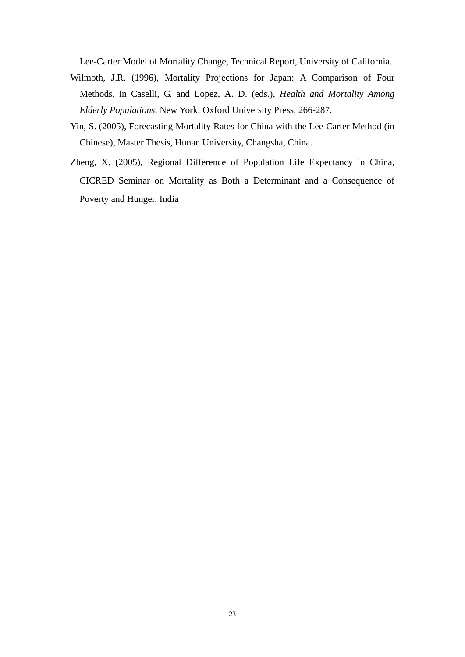Lee-Carter Model of Mortality Change, Technical Report, University of California.

- Wilmoth, J.R. (1996), Mortality Projections for Japan: A Comparison of Four Methods, in Caselli, G. and Lopez, A. D. (eds.), *Health and Mortality Among Elderly Populations*, New York: Oxford University Press, 266-287.
- Yin, S. (2005), Forecasting Mortality Rates for China with the Lee-Carter Method (in Chinese), Master Thesis, Hunan University, Changsha, China.
- Zheng, X. (2005), Regional Difference of Population Life Expectancy in China, CICRED Seminar on Mortality as Both a Determinant and a Consequence of Poverty and Hunger, India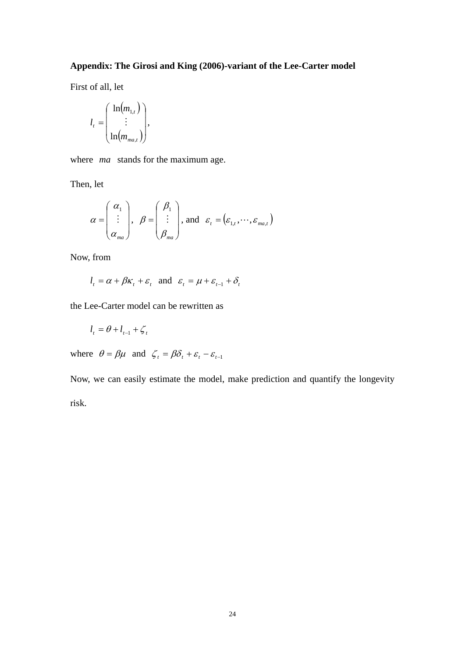# **Appendix: The Girosi and King (2006)-variant of the Lee-Carter model**

First of all, let

$$
l_{t} = \begin{pmatrix} \ln(m_{1,t}) \\ \vdots \\ \ln(m_{m_{1,t}}) \end{pmatrix},
$$

where *ma* stands for the maximum age.

Then, let

$$
\alpha = \begin{pmatrix} \alpha_1 \\ \vdots \\ \alpha_{ma} \end{pmatrix}, \quad \beta = \begin{pmatrix} \beta_1 \\ \vdots \\ \beta_{ma} \end{pmatrix}, \text{ and } \varepsilon_t = (\varepsilon_{1,t}, \dots, \varepsilon_{ma,t})
$$

Now, from

$$
l_t = \alpha + \beta \kappa_t + \varepsilon_t
$$
 and  $\varepsilon_t = \mu + \varepsilon_{t-1} + \delta_t$ 

the Lee-Carter model can be rewritten as

$$
l_t = \theta + l_{t-1} + \zeta_t
$$

where  $\theta = \beta \mu$  and  $\zeta_t = \beta \delta_t + \varepsilon_t - \varepsilon_{t-1}$ 

Now, we can easily estimate the model, make prediction and quantify the longevity risk.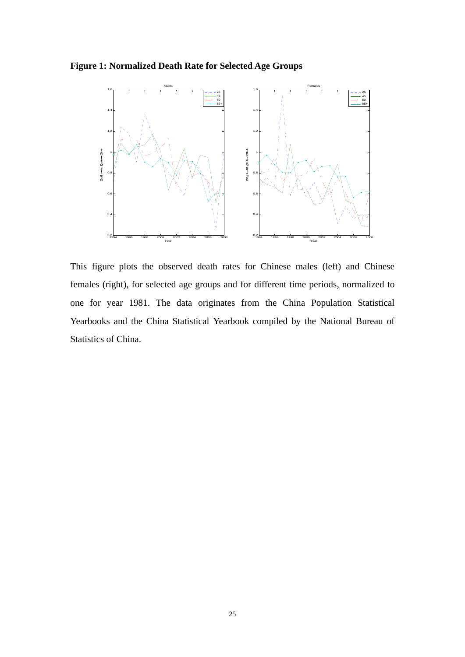**Figure 1: Normalized Death Rate for Selected Age Groups** 



This figure plots the observed death rates for Chinese males (left) and Chinese females (right), for selected age groups and for different time periods, normalized to one for year 1981. The data originates from the China Population Statistical Yearbooks and the China Statistical Yearbook compiled by the National Bureau of Statistics of China.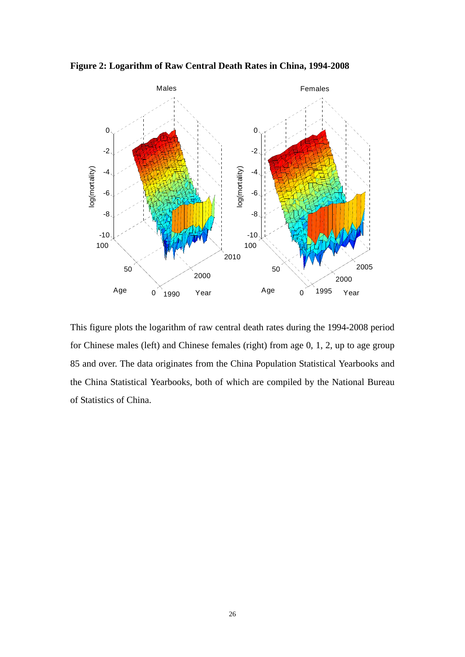**Figure 2: Logarithm of Raw Central Death Rates in China, 1994-2008**



This figure plots the logarithm of raw central death rates during the 1994-2008 period for Chinese males (left) and Chinese females (right) from age 0, 1, 2, up to age group 85 and over. The data originates from the China Population Statistical Yearbooks and the China Statistical Yearbooks, both of which are compiled by the National Bureau of Statistics of China.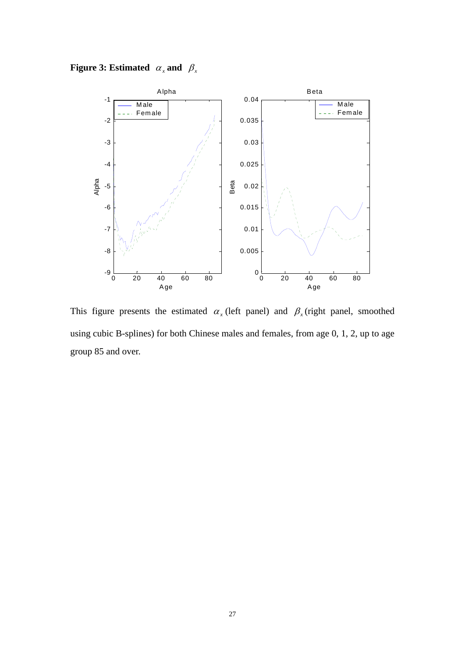**Figure 3: Estimated**  $\alpha_x$  and  $\beta_x$ 



This figure presents the estimated  $\alpha_x$  (left panel) and  $\beta_x$  (right panel, smoothed using cubic B-splines) for both Chinese males and females, from age 0, 1, 2, up to age group 85 and over.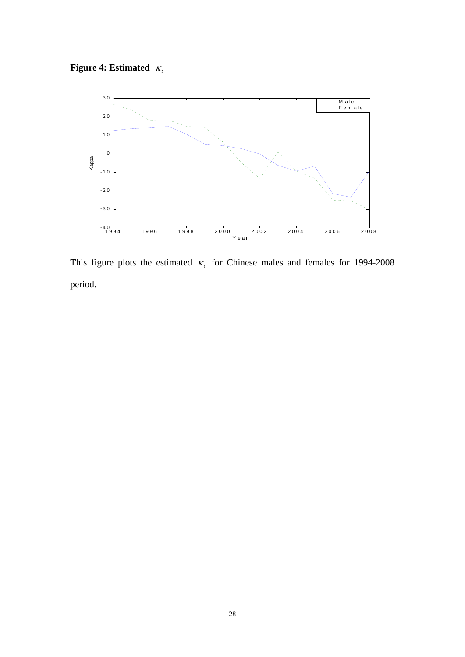**Figure 4: Estimated**  $\kappa_t$ 



This figure plots the estimated  $\kappa$  for Chinese males and females for 1994-2008 period.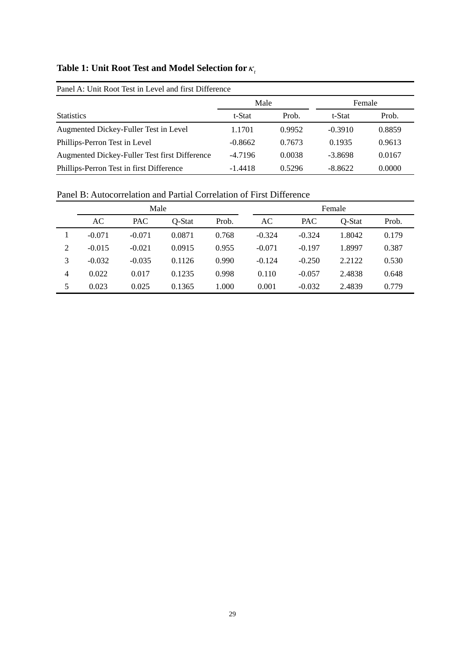# **Table 1: Unit Root Test and Model Selection for**  $\kappa_t$

| Panel A: Unit Root Test in Level and first Difference |           |        |           |        |  |  |  |
|-------------------------------------------------------|-----------|--------|-----------|--------|--|--|--|
|                                                       | Male      |        | Female    |        |  |  |  |
| <b>Statistics</b>                                     | t-Stat    | Prob.  | t-Stat    | Prob.  |  |  |  |
| Augmented Dickey-Fuller Test in Level                 | 1.1701    | 0.9952 | $-0.3910$ | 0.8859 |  |  |  |
| Phillips-Perron Test in Level                         | $-0.8662$ | 0.7673 | 0.1935    | 0.9613 |  |  |  |
| Augmented Dickey-Fuller Test first Difference         | $-4.7196$ | 0.0038 | $-3.8698$ | 0.0167 |  |  |  |
| Phillips-Perron Test in first Difference              | $-1.4418$ | 0.5296 | $-8.8622$ | 0.0000 |  |  |  |

Panel B: Autocorrelation and Partial Correlation of First Difference

|                | Male     |            |        |       |          | Female     |        |       |  |
|----------------|----------|------------|--------|-------|----------|------------|--------|-------|--|
|                | AC       | <b>PAC</b> | Q-Stat | Prob. | AC       | <b>PAC</b> | Q-Stat | Prob. |  |
|                | $-0.071$ | $-0.071$   | 0.0871 | 0.768 | $-0.324$ | $-0.324$   | 1.8042 | 0.179 |  |
| 2              | $-0.015$ | $-0.021$   | 0.0915 | 0.955 | $-0.071$ | $-0.197$   | 1.8997 | 0.387 |  |
| 3              | $-0.032$ | $-0.035$   | 0.1126 | 0.990 | $-0.124$ | $-0.250$   | 2.2122 | 0.530 |  |
| $\overline{4}$ | 0.022    | 0.017      | 0.1235 | 0.998 | 0.110    | $-0.057$   | 2.4838 | 0.648 |  |
| 5              | 0.023    | 0.025      | 0.1365 | 1.000 | 0.001    | $-0.032$   | 2.4839 | 0.779 |  |